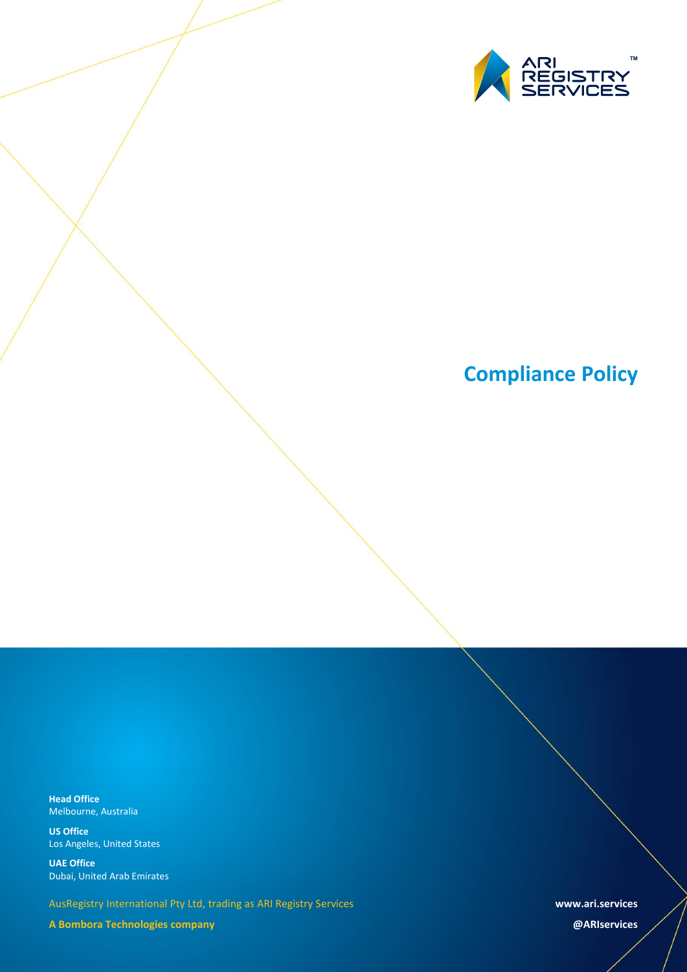

# **Compliance Policy**

**Head Office** Melbourne, Australia

**US Office** Los Angeles, United States

**UAE Office** Dubai, United Arab Emirates

AusRegistry International Pty Ltd, trading as ARI Registry Services

**A Bombora Technologies company**

**www.ari.services**

**@ARIservices**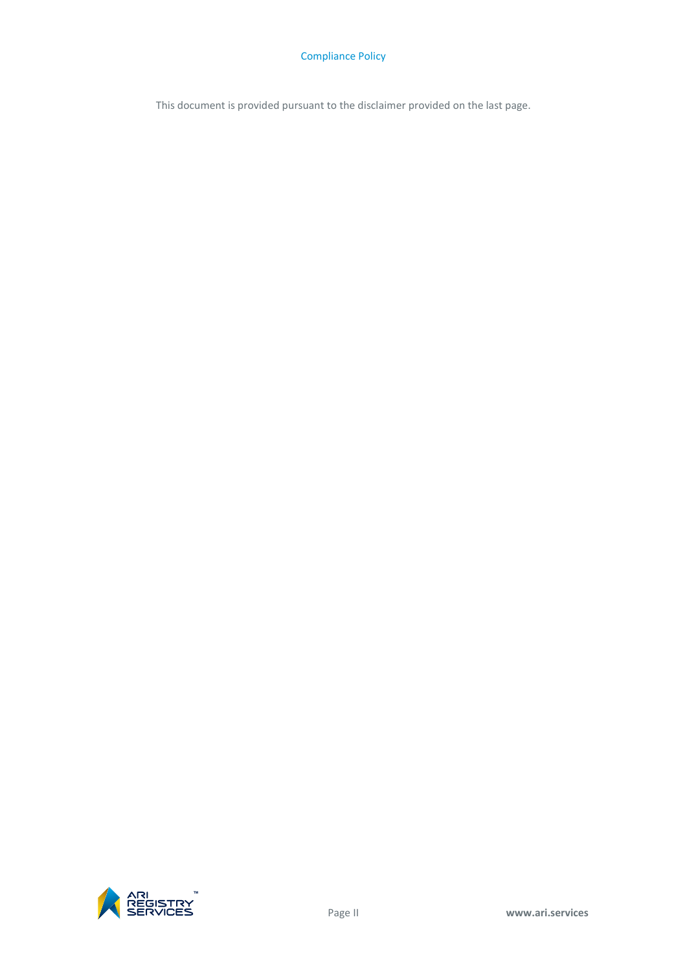This document is provided pursuant to the disclaimer provided on the last page.

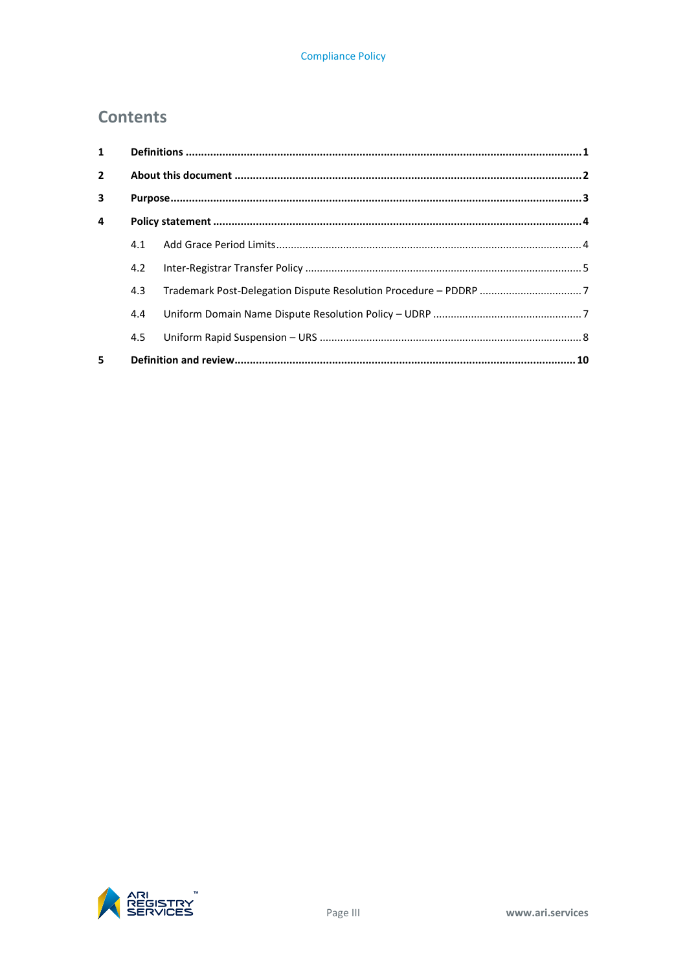## **Contents**

| $\mathbf{1}$   |     |  |  |
|----------------|-----|--|--|
| $\overline{2}$ |     |  |  |
| 3              |     |  |  |
| 4              |     |  |  |
|                | 4.1 |  |  |
|                | 4.2 |  |  |
|                | 4.3 |  |  |
|                | 4.4 |  |  |
|                | 4.5 |  |  |
| 5              |     |  |  |

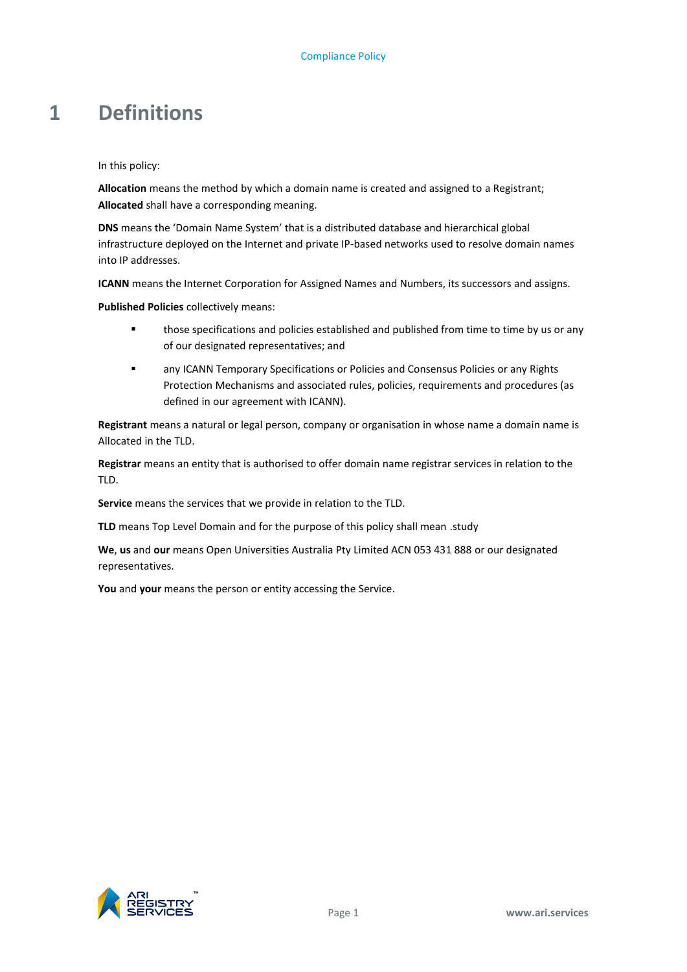# <span id="page-4-0"></span>**1 Definitions**

In this policy:

**Allocation** means the method by which a domain name is created and assigned to a Registrant; **Allocated** shall have a corresponding meaning.

**DNS** means the 'Domain Name System' that is a distributed database and hierarchical global infrastructure deployed on the Internet and private IP-based networks used to resolve domain names into IP addresses.

**ICANN** means the Internet Corporation for Assigned Names and Numbers, its successors and assigns.

**Published Policies** collectively means:

- **those specifications and policies established and published from time to time by us or any** of our designated representatives; and
- any ICANN Temporary Specifications or Policies and Consensus Policies or any Rights Protection Mechanisms and associated rules, policies, requirements and procedures (as defined in our agreement with ICANN).

**Registrant** means a natural or legal person, company or organisation in whose name a domain name is Allocated in the TLD.

**Registrar** means an entity that is authorised to offer domain name registrar services in relation to the TLD.

**Service** means the services that we provide in relation to the TLD.

**TLD** means Top Level Domain and for the purpose of this policy shall mean .study

**We**, **us** and **our** means Open Universities Australia Pty Limited ACN 053 431 888 or our designated representatives.

**You** and **your** means the person or entity accessing the Service.

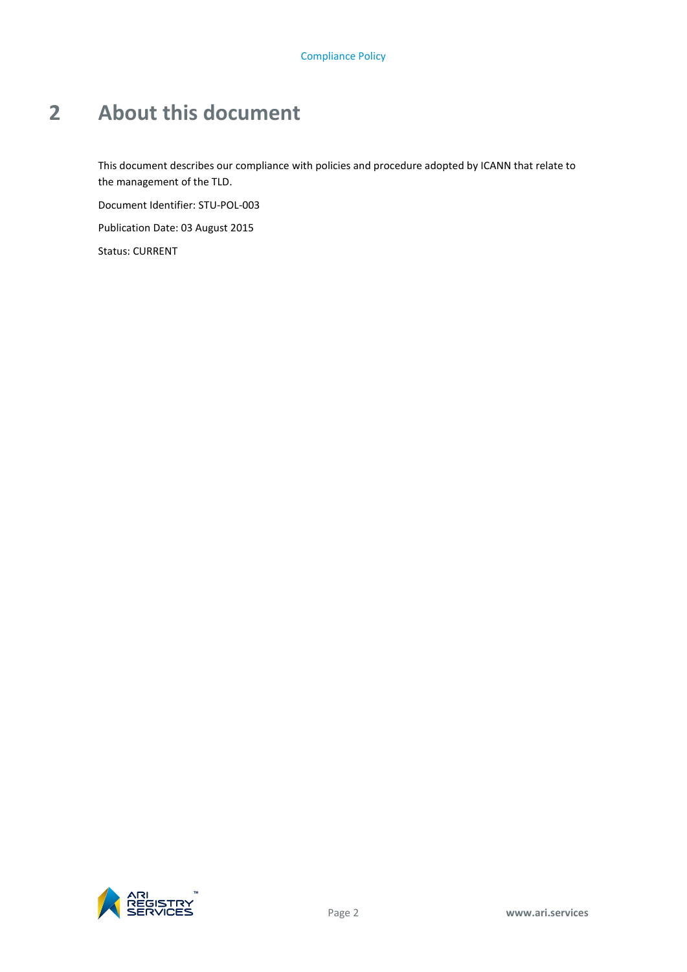# <span id="page-5-0"></span>**2 About this document**

This document describes our compliance with policies and procedure adopted by ICANN that relate to the management of the TLD.

Document Identifier: STU-POL-003

Publication Date: 03 August 2015

Status: CURRENT

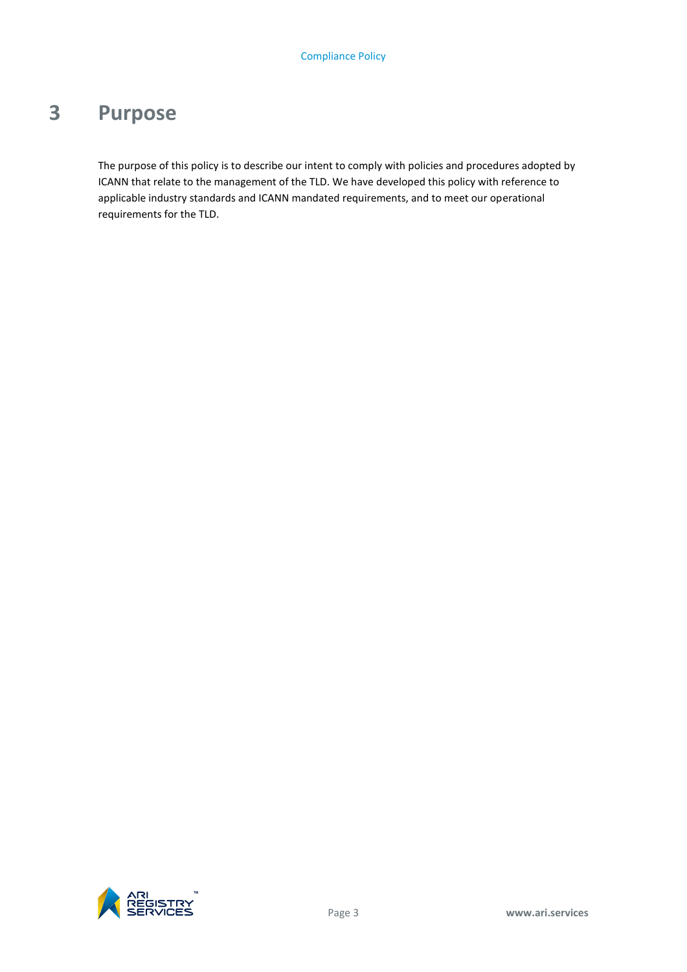# <span id="page-6-0"></span>**3 Purpose**

The purpose of this policy is to describe our intent to comply with policies and procedures adopted by ICANN that relate to the management of the TLD. We have developed this policy with reference to applicable industry standards and ICANN mandated requirements, and to meet our operational requirements for the TLD.

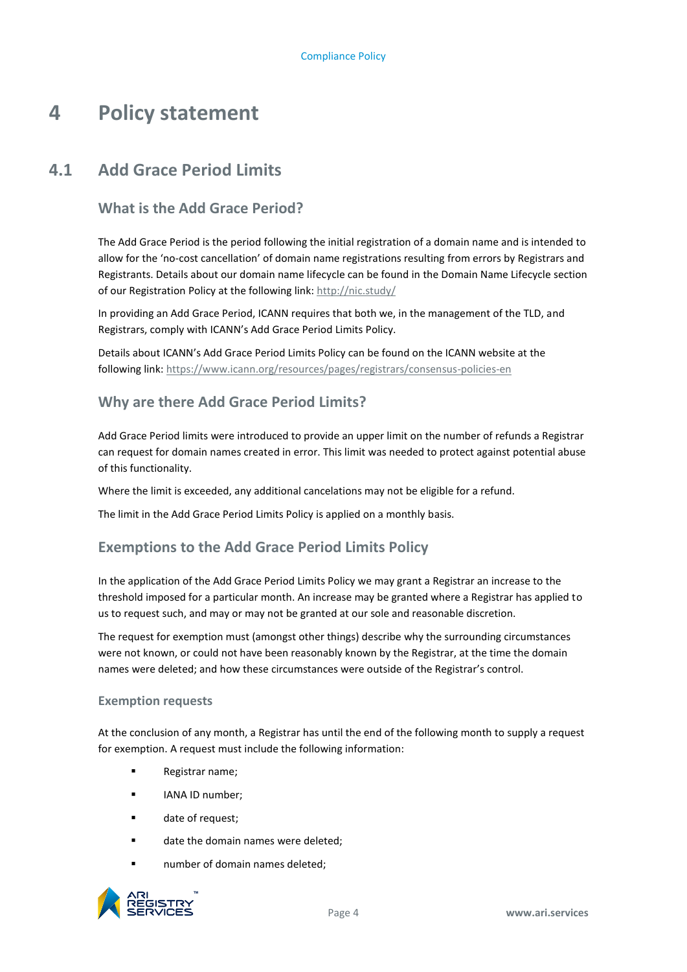# <span id="page-7-0"></span>**4 Policy statement**

## **4.1 Add Grace Period Limits**

### <span id="page-7-1"></span>**What is the Add Grace Period?**

The Add Grace Period is the period following the initial registration of a domain name and is intended to allow for the 'no-cost cancellation' of domain name registrations resulting from errors by Registrars and Registrants. Details about our domain name lifecycle can be found in the Domain Name Lifecycle section of our Registration Policy at the following link[: http://nic.study/](http://nic.study/)

In providing an Add Grace Period, ICANN requires that both we, in the management of the TLD, and Registrars, comply with ICANN's Add Grace Period Limits Policy.

Details about ICANN's Add Grace Period Limits Policy can be found on the ICANN website at the following link:<https://www.icann.org/resources/pages/registrars/consensus-policies-en>

#### **Why are there Add Grace Period Limits?**

Add Grace Period limits were introduced to provide an upper limit on the number of refunds a Registrar can request for domain names created in error. This limit was needed to protect against potential abuse of this functionality.

Where the limit is exceeded, any additional cancelations may not be eligible for a refund.

The limit in the Add Grace Period Limits Policy is applied on a monthly basis.

#### **Exemptions to the Add Grace Period Limits Policy**

In the application of the Add Grace Period Limits Policy we may grant a Registrar an increase to the threshold imposed for a particular month. An increase may be granted where a Registrar has applied to us to request such, and may or may not be granted at our sole and reasonable discretion.

The request for exemption must (amongst other things) describe why the surrounding circumstances were not known, or could not have been reasonably known by the Registrar, at the time the domain names were deleted; and how these circumstances were outside of the Registrar's control.

#### **Exemption requests**

At the conclusion of any month, a Registrar has until the end of the following month to supply a request for exemption. A request must include the following information:

- Registrar name;
- IANA ID number;
- date of request:
- date the domain names were deleted;
- **number of domain names deleted;**

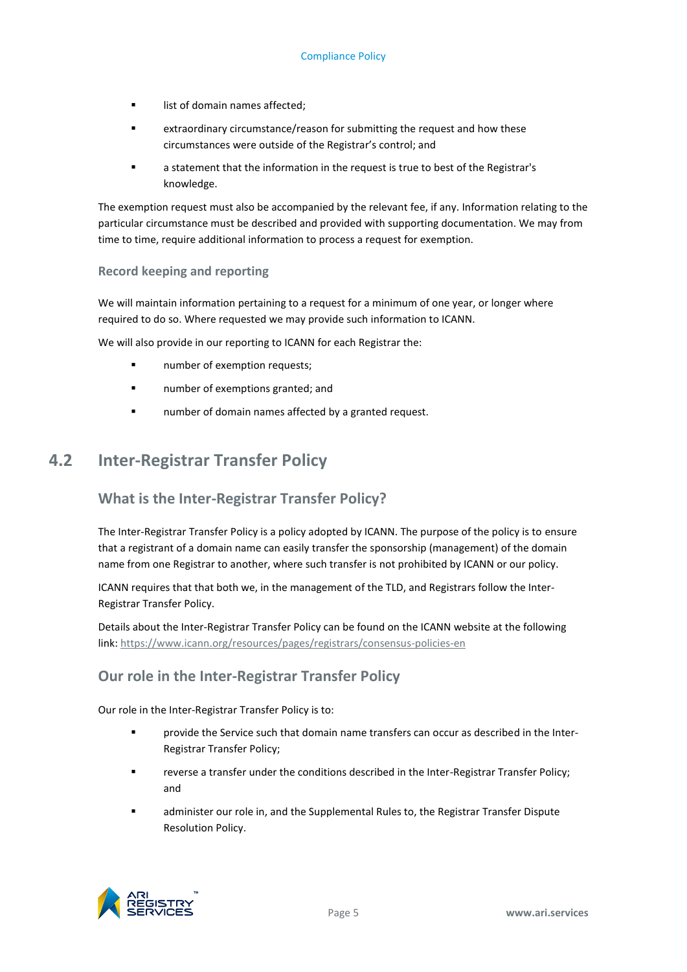- **If** list of domain names affected;
- extraordinary circumstance/reason for submitting the request and how these circumstances were outside of the Registrar's control; and
- a statement that the information in the request is true to best of the Registrar's knowledge.

The exemption request must also be accompanied by the relevant fee, if any. Information relating to the particular circumstance must be described and provided with supporting documentation. We may from time to time, require additional information to process a request for exemption.

#### **Record keeping and reporting**

We will maintain information pertaining to a request for a minimum of one year, or longer where required to do so. Where requested we may provide such information to ICANN.

We will also provide in our reporting to ICANN for each Registrar the:

- **number of exemption requests;**
- **number of exemptions granted: and**
- <span id="page-8-0"></span>number of domain names affected by a granted request.

## **4.2 Inter-Registrar Transfer Policy**

## **What is the Inter-Registrar Transfer Policy?**

The Inter-Registrar Transfer Policy is a policy adopted by ICANN. The purpose of the policy is to ensure that a registrant of a domain name can easily transfer the sponsorship (management) of the domain name from one Registrar to another, where such transfer is not prohibited by ICANN or our policy.

ICANN requires that that both we, in the management of the TLD, and Registrars follow the Inter-Registrar Transfer Policy.

Details about the Inter-Registrar Transfer Policy can be found on the ICANN website at the following link[: https://www.icann.org/resources/pages/registrars/consensus-policies-en](https://www.icann.org/resources/pages/registrars/consensus-policies-en)

## **Our role in the Inter-Registrar Transfer Policy**

Our role in the Inter-Registrar Transfer Policy is to:

- provide the Service such that domain name transfers can occur as described in the Inter-Registrar Transfer Policy;
- reverse a transfer under the conditions described in the Inter-Registrar Transfer Policy; and
- administer our role in, and the Supplemental Rules to, the Registrar Transfer Dispute Resolution Policy.

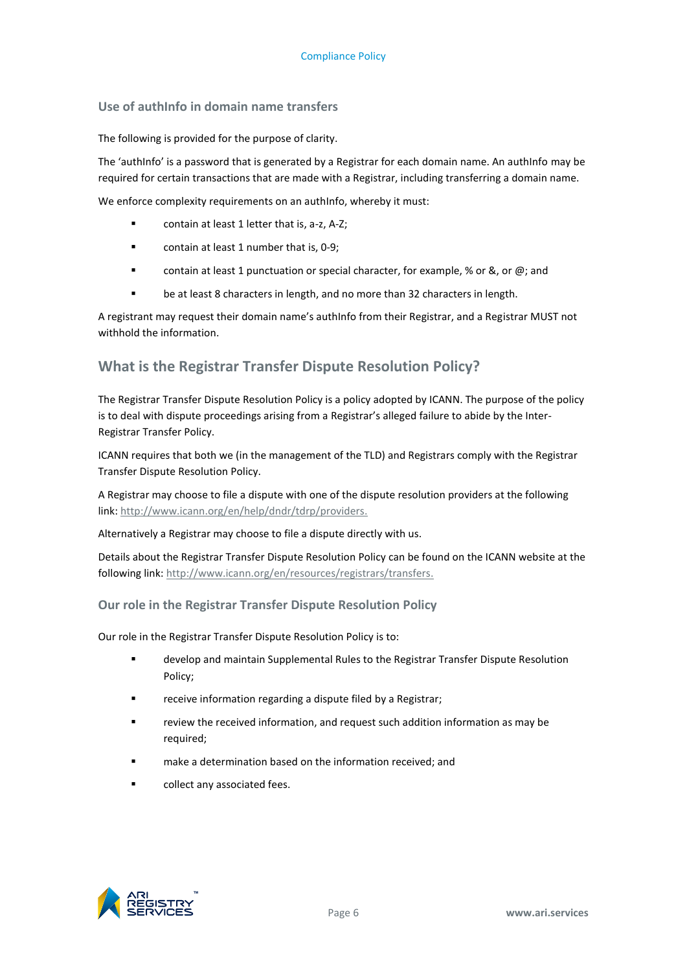#### **Use of authInfo in domain name transfers**

The following is provided for the purpose of clarity.

The 'authInfo' is a password that is generated by a Registrar for each domain name. An authInfo may be required for certain transactions that are made with a Registrar, including transferring a domain name.

We enforce complexity requirements on an authInfo, whereby it must:

- contain at least 1 letter that is, a-z, A-Z;
- **EXECO** contain at least 1 number that is, 0-9;
- contain at least 1 punctuation or special character, for example, % or &, or  $\omega$ ; and
- **•** be at least 8 characters in length, and no more than 32 characters in length.

A registrant may request their domain name's authInfo from their Registrar, and a Registrar MUST not withhold the information.

#### **What is the Registrar Transfer Dispute Resolution Policy?**

The Registrar Transfer Dispute Resolution Policy is a policy adopted by ICANN. The purpose of the policy is to deal with dispute proceedings arising from a Registrar's alleged failure to abide by the Inter-Registrar Transfer Policy.

ICANN requires that both we (in the management of the TLD) and Registrars comply with the Registrar Transfer Dispute Resolution Policy.

A Registrar may choose to file a dispute with one of the dispute resolution providers at the following link[: http://www.icann.org/en/help/dndr/tdrp/providers.](http://www.icann.org/en/help/dndr/tdrp/providers)

Alternatively a Registrar may choose to file a dispute directly with us.

Details about the Registrar Transfer Dispute Resolution Policy can be found on the ICANN website at the following link: [http://www.icann.org/en/resources/registrars/transfers.](http://www.icann.org/en/resources/registrars/transfers)

#### **Our role in the Registrar Transfer Dispute Resolution Policy**

Our role in the Registrar Transfer Dispute Resolution Policy is to:

- develop and maintain Supplemental Rules to the Registrar Transfer Dispute Resolution Policy;
- receive information regarding a dispute filed by a Registrar;
- review the received information, and request such addition information as may be required;
- make a determination based on the information received; and
- collect any associated fees.

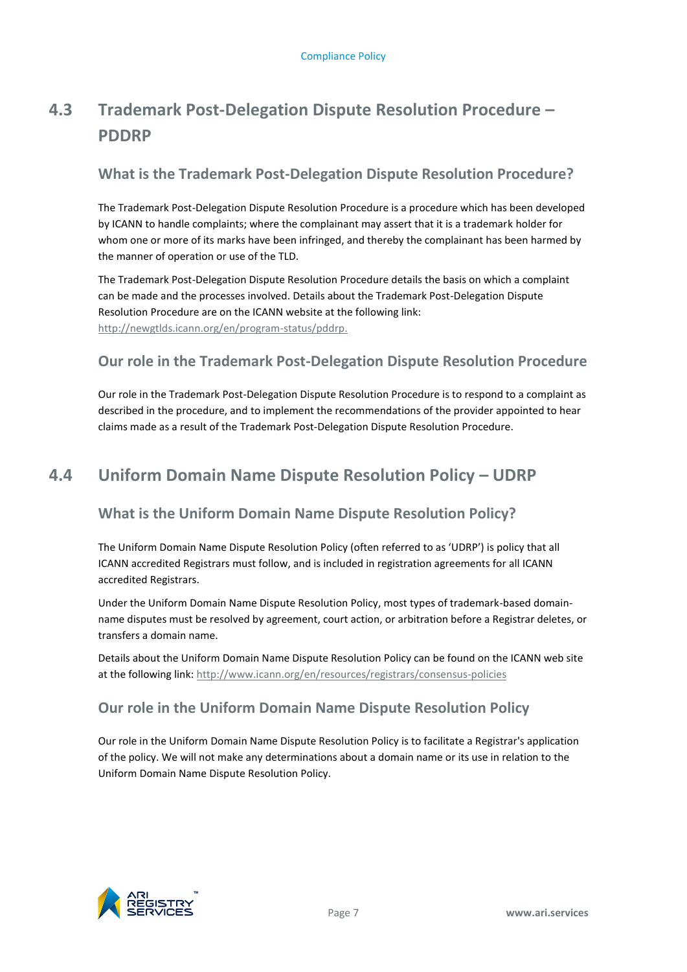## <span id="page-10-0"></span>**4.3 Trademark Post-Delegation Dispute Resolution Procedure – PDDRP**

## **What is the Trademark Post-Delegation Dispute Resolution Procedure?**

The Trademark Post-Delegation Dispute Resolution Procedure is a procedure which has been developed by ICANN to handle complaints; where the complainant may assert that it is a trademark holder for whom one or more of its marks have been infringed, and thereby the complainant has been harmed by the manner of operation or use of the TLD.

The Trademark Post-Delegation Dispute Resolution Procedure details the basis on which a complaint can be made and the processes involved. Details about the Trademark Post-Delegation Dispute Resolution Procedure are on the ICANN website at the following link: [http://newgtlds.icann.org/en/program-status/pddrp.](http://newgtlds.icann.org/en/program-status/pddrp)

## **Our role in the Trademark Post-Delegation Dispute Resolution Procedure**

Our role in the Trademark Post-Delegation Dispute Resolution Procedure is to respond to a complaint as described in the procedure, and to implement the recommendations of the provider appointed to hear claims made as a result of the Trademark Post-Delegation Dispute Resolution Procedure.

## <span id="page-10-1"></span>**4.4 Uniform Domain Name Dispute Resolution Policy – UDRP**

## **What is the Uniform Domain Name Dispute Resolution Policy?**

The Uniform Domain Name Dispute Resolution Policy (often referred to as 'UDRP') is policy that all ICANN accredited Registrars must follow, and is included in registration agreements for all ICANN accredited Registrars.

Under the Uniform Domain Name Dispute Resolution Policy, most types of trademark-based domainname disputes must be resolved by agreement, court action, or arbitration before a Registrar deletes, or transfers a domain name.

Details about the Uniform Domain Name Dispute Resolution Policy can be found on the ICANN web site at the following link[: http://www.icann.org/en/resources/registrars/consensus-policies](http://www.icann.org/en/resources/registrars/consensus-policies)

## **Our role in the Uniform Domain Name Dispute Resolution Policy**

Our role in the Uniform Domain Name Dispute Resolution Policy is to facilitate a Registrar's application of the policy. We will not make any determinations about a domain name or its use in relation to the Uniform Domain Name Dispute Resolution Policy.

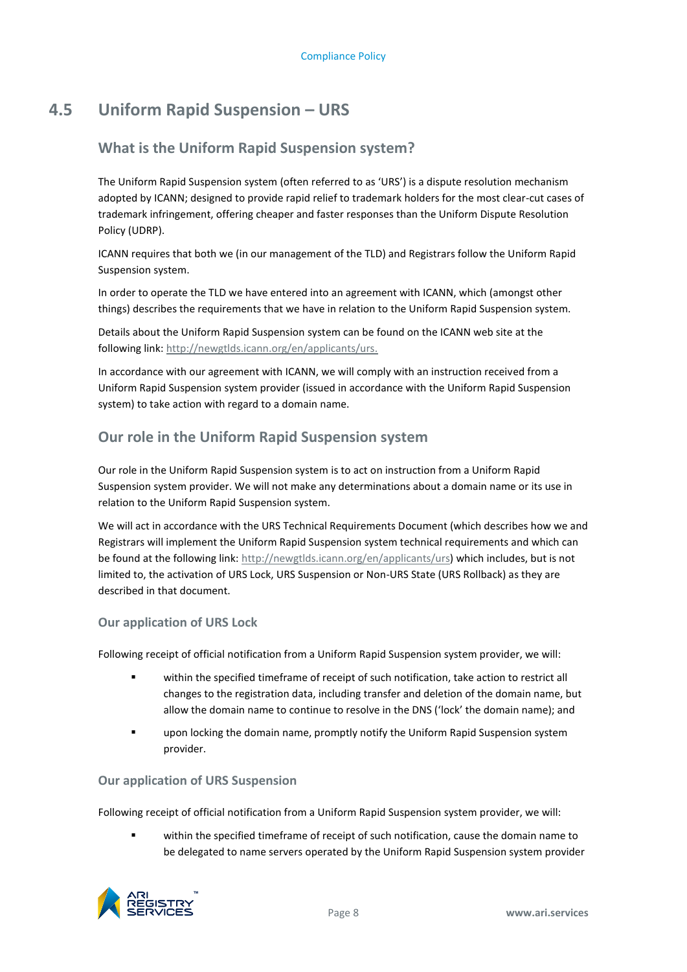## **4.5 Uniform Rapid Suspension – URS**

## <span id="page-11-0"></span>**What is the Uniform Rapid Suspension system?**

The Uniform Rapid Suspension system (often referred to as 'URS') is a dispute resolution mechanism adopted by ICANN; designed to provide rapid relief to trademark holders for the most clear-cut cases of trademark infringement, offering cheaper and faster responses than the Uniform Dispute Resolution Policy (UDRP).

ICANN requires that both we (in our management of the TLD) and Registrars follow the Uniform Rapid Suspension system.

In order to operate the TLD we have entered into an agreement with ICANN, which (amongst other things) describes the requirements that we have in relation to the Uniform Rapid Suspension system.

Details about the Uniform Rapid Suspension system can be found on the ICANN web site at the following link: [http://newgtlds.icann.org/en/applicants/urs.](http://newgtlds.icann.org/en/applicants/urs)

In accordance with our agreement with ICANN, we will comply with an instruction received from a Uniform Rapid Suspension system provider (issued in accordance with the Uniform Rapid Suspension system) to take action with regard to a domain name.

## **Our role in the Uniform Rapid Suspension system**

Our role in the Uniform Rapid Suspension system is to act on instruction from a Uniform Rapid Suspension system provider. We will not make any determinations about a domain name or its use in relation to the Uniform Rapid Suspension system.

We will act in accordance with the URS Technical Requirements Document (which describes how we and Registrars will implement the Uniform Rapid Suspension system technical requirements and which can be found at the following link: [http://newgtlds.icann.org/en/applicants/urs\)](http://newgtlds.icann.org/en/applicants/urs) which includes, but is not limited to, the activation of URS Lock, URS Suspension or Non-URS State (URS Rollback) as they are described in that document.

#### **Our application of URS Lock**

Following receipt of official notification from a Uniform Rapid Suspension system provider, we will:

- within the specified timeframe of receipt of such notification, take action to restrict all changes to the registration data, including transfer and deletion of the domain name, but allow the domain name to continue to resolve in the DNS ('lock' the domain name); and
- upon locking the domain name, promptly notify the Uniform Rapid Suspension system provider.

#### **Our application of URS Suspension**

Following receipt of official notification from a Uniform Rapid Suspension system provider, we will:

 within the specified timeframe of receipt of such notification, cause the domain name to be delegated to name servers operated by the Uniform Rapid Suspension system provider

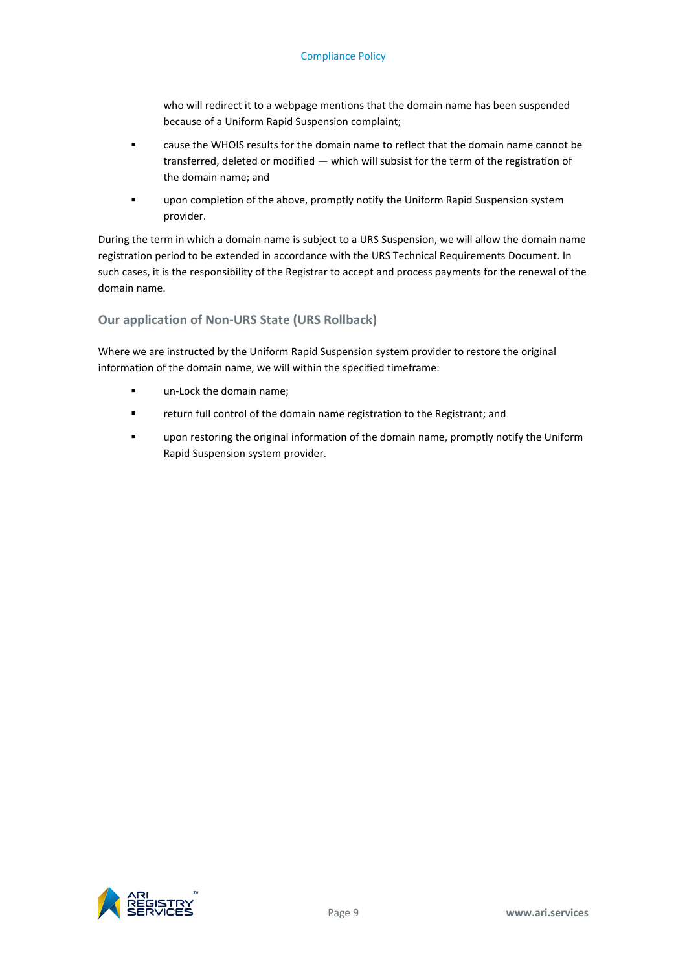#### Compliance Policy

who will redirect it to a webpage mentions that the domain name has been suspended because of a Uniform Rapid Suspension complaint;

- cause the WHOIS results for the domain name to reflect that the domain name cannot be transferred, deleted or modified — which will subsist for the term of the registration of the domain name; and
- upon completion of the above, promptly notify the Uniform Rapid Suspension system provider.

During the term in which a domain name is subject to a URS Suspension, we will allow the domain name registration period to be extended in accordance with the URS Technical Requirements Document. In such cases, it is the responsibility of the Registrar to accept and process payments for the renewal of the domain name.

#### **Our application of Non-URS State (URS Rollback)**

Where we are instructed by the Uniform Rapid Suspension system provider to restore the original information of the domain name, we will within the specified timeframe:

- **un-Lock the domain name;**
- **F** return full control of the domain name registration to the Registrant; and
- upon restoring the original information of the domain name, promptly notify the Uniform Rapid Suspension system provider.

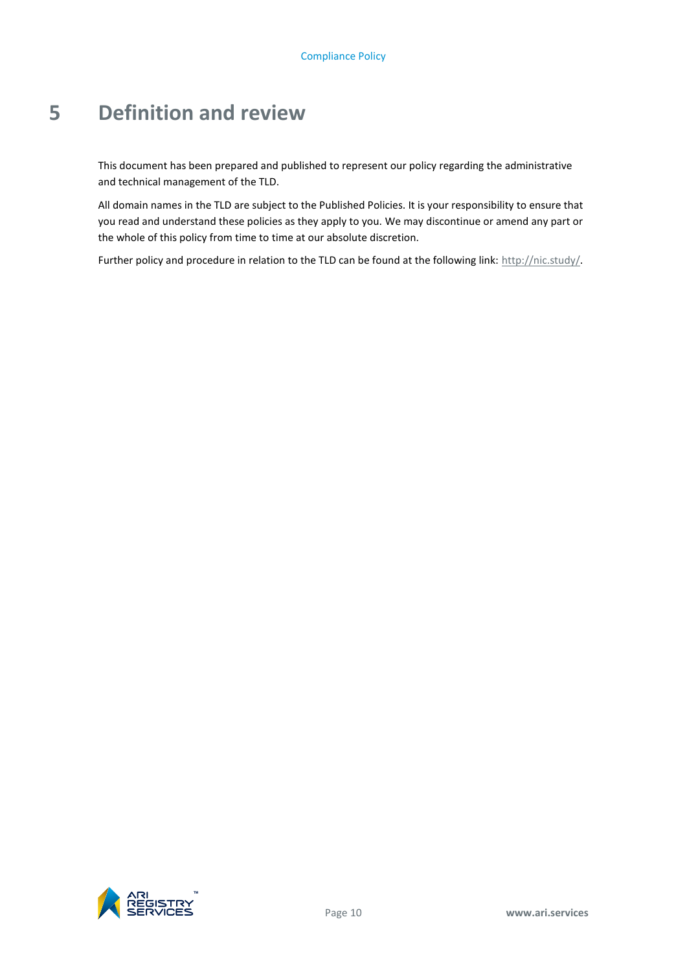# <span id="page-13-0"></span>**5 Definition and review**

This document has been prepared and published to represent our policy regarding the administrative and technical management of the TLD.

All domain names in the TLD are subject to the Published Policies. It is your responsibility to ensure that you read and understand these policies as they apply to you. We may discontinue or amend any part or the whole of this policy from time to time at our absolute discretion.

Further policy and procedure in relation to the TLD can be found at the following link[: http://nic.study/.](http://nic.study/)

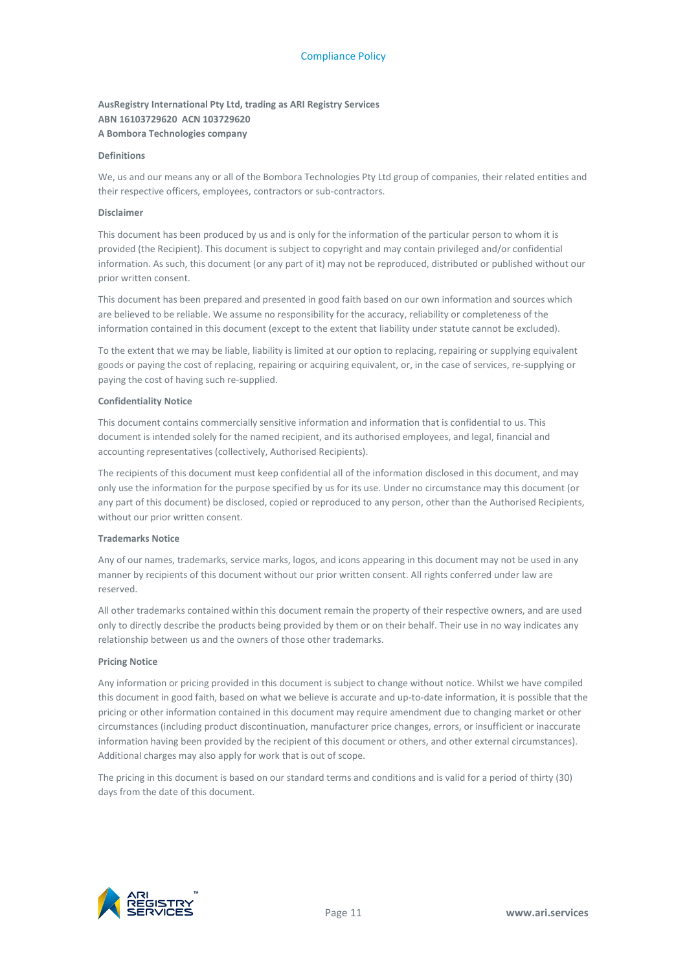#### **AusRegistry International Pty Ltd, trading as ARI Registry Services ABN 16103729620 ACN 103729620 A Bombora Technologies company**

#### **Definitions**

We, us and our means any or all of the Bombora Technologies Pty Ltd group of companies, their related entities and their respective officers, employees, contractors or sub-contractors.

#### **Disclaimer**

This document has been produced by us and is only for the information of the particular person to whom it is provided (the Recipient). This document is subject to copyright and may contain privileged and/or confidential information. As such, this document (or any part of it) may not be reproduced, distributed or published without our prior written consent.

This document has been prepared and presented in good faith based on our own information and sources which are believed to be reliable. We assume no responsibility for the accuracy, reliability or completeness of the information contained in this document (except to the extent that liability under statute cannot be excluded).

To the extent that we may be liable, liability is limited at our option to replacing, repairing or supplying equivalent goods or paying the cost of replacing, repairing or acquiring equivalent, or, in the case of services, re-supplying or paying the cost of having such re-supplied.

#### **Confidentiality Notice**

This document contains commercially sensitive information and information that is confidential to us. This document is intended solely for the named recipient, and its authorised employees, and legal, financial and accounting representatives (collectively, Authorised Recipients).

The recipients of this document must keep confidential all of the information disclosed in this document, and may only use the information for the purpose specified by us for its use. Under no circumstance may this document (or any part of this document) be disclosed, copied or reproduced to any person, other than the Authorised Recipients, without our prior written consent.

#### **Trademarks Notice**

Any of our names, trademarks, service marks, logos, and icons appearing in this document may not be used in any manner by recipients of this document without our prior written consent. All rights conferred under law are reserved.

All other trademarks contained within this document remain the property of their respective owners, and are used only to directly describe the products being provided by them or on their behalf. Their use in no way indicates any relationship between us and the owners of those other trademarks.

#### **Pricing Notice**

Any information or pricing provided in this document is subject to change without notice. Whilst we have compiled this document in good faith, based on what we believe is accurate and up-to-date information, it is possible that the pricing or other information contained in this document may require amendment due to changing market or other circumstances (including product discontinuation, manufacturer price changes, errors, or insufficient or inaccurate information having been provided by the recipient of this document or others, and other external circumstances). Additional charges may also apply for work that is out of scope.

The pricing in this document is based on our standard terms and conditions and is valid for a period of thirty (30) days from the date of this document.